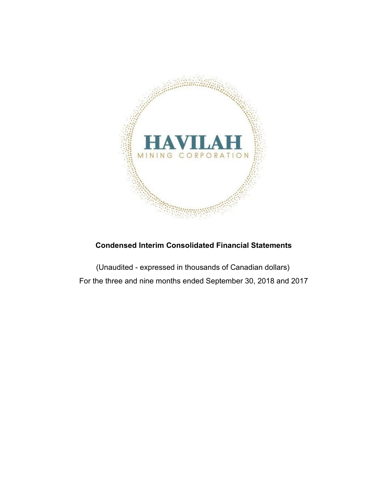

## **Condensed Interim Consolidated Financial Statements**

(Unaudited - expressed in thousands of Canadian dollars) For the three and nine months ended September 30, 2018 and 2017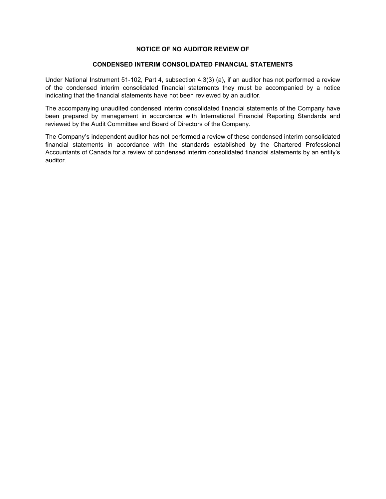#### **NOTICE OF NO AUDITOR REVIEW OF**

#### **CONDENSED INTERIM CONSOLIDATED FINANCIAL STATEMENTS**

Under National Instrument 51-102, Part 4, subsection 4.3(3) (a), if an auditor has not performed a review of the condensed interim consolidated financial statements they must be accompanied by a notice indicating that the financial statements have not been reviewed by an auditor.

The accompanying unaudited condensed interim consolidated financial statements of the Company have been prepared by management in accordance with International Financial Reporting Standards and reviewed by the Audit Committee and Board of Directors of the Company.

The Company's independent auditor has not performed a review of these condensed interim consolidated financial statements in accordance with the standards established by the Chartered Professional Accountants of Canada for a review of condensed interim consolidated financial statements by an entity's auditor.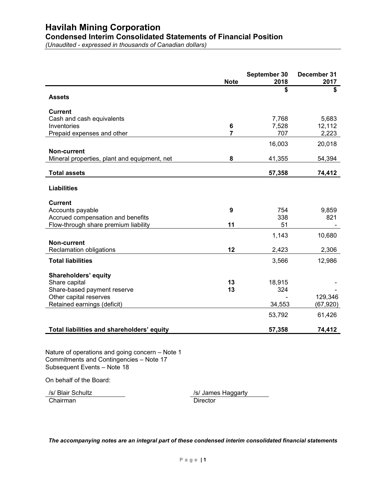# **Condensed Interim Consolidated Statements of Financial Position**

*(Unaudited - expressed in thousands of Canadian dollars)*

|                                                             | <b>Note</b>    | September 30<br>2018 | December 31<br>2017 |
|-------------------------------------------------------------|----------------|----------------------|---------------------|
| <b>Assets</b>                                               |                | \$                   | \$                  |
| <b>Current</b>                                              |                |                      |                     |
| Cash and cash equivalents                                   |                | 7,768                | 5,683               |
| Inventories                                                 | 6              | 7,528                | 12,112              |
| Prepaid expenses and other                                  | $\overline{7}$ | 707                  | 2,223               |
|                                                             |                | 16,003               | 20,018              |
| Non-current<br>Mineral properties, plant and equipment, net | 8              | 41,355               | 54,394              |
| <b>Total assets</b>                                         |                | 57,358               | 74,412              |
| <b>Liabilities</b>                                          |                |                      |                     |
| <b>Current</b>                                              |                |                      |                     |
| Accounts payable                                            | 9              | 754                  | 9,859               |
| Accrued compensation and benefits                           |                | 338                  | 821                 |
| Flow-through share premium liability                        | 11             | 51                   |                     |
|                                                             |                | 1,143                | 10,680              |
| <b>Non-current</b>                                          |                |                      |                     |
| Reclamation obligations                                     | 12             | 2,423                | 2,306               |
| <b>Total liabilities</b>                                    |                | 3,566                | 12,986              |
| Shareholders' equity                                        |                |                      |                     |
| Share capital                                               | 13             | 18,915               |                     |
| Share-based payment reserve                                 | 13             | 324                  |                     |
| Other capital reserves                                      |                |                      | 129,346             |
| Retained earnings (deficit)                                 |                | 34,553               | (67, 920)           |
|                                                             |                | 53,792               | 61,426              |
| Total liabilities and shareholders' equity                  |                | 57,358               | 74,412              |

Nature of operations and going concern – Note 1 Commitments and Contingencies – Note 17 Subsequent Events – Note 18

On behalf of the Board:

Chairman

/s/ Blair Schultz */s/ James Haggarty*<br>Chairman *Chairman* Chairman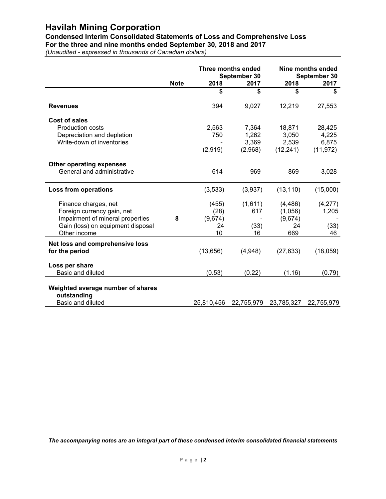**Condensed Interim Consolidated Statements of Loss and Comprehensive Loss For the three and nine months ended September 30, 2018 and 2017**

*(Unaudited - expressed in thousands of Canadian dollars)*

|                                                               | <b>Note</b> | Three months ended<br>September 30<br>2018<br>2017 |            | 2018       | Nine months ended<br>September 30<br>2017 |
|---------------------------------------------------------------|-------------|----------------------------------------------------|------------|------------|-------------------------------------------|
|                                                               |             | \$                                                 | \$         | \$         | \$                                        |
| <b>Revenues</b>                                               |             | 394                                                | 9,027      | 12,219     | 27,553                                    |
| <b>Cost of sales</b>                                          |             |                                                    |            |            |                                           |
| <b>Production costs</b>                                       |             | 2,563                                              | 7,364      | 18,871     | 28,425                                    |
| Depreciation and depletion                                    |             | 750                                                | 1,262      | 3,050      | 4,225                                     |
| Write-down of inventories                                     |             |                                                    | 3,369      | 2,539      | 6,875                                     |
|                                                               |             | (2,919)                                            | (2,968)    | (12, 241)  | (11, 972)                                 |
|                                                               |             |                                                    |            |            |                                           |
| <b>Other operating expenses</b><br>General and administrative |             | 614                                                | 969        | 869        | 3,028                                     |
| <b>Loss from operations</b>                                   |             | (3,533)                                            | (3,937)    | (13, 110)  | (15,000)                                  |
|                                                               |             |                                                    |            |            |                                           |
| Finance charges, net                                          |             | (455)                                              | (1,611)    | (4, 486)   | (4,277)                                   |
| Foreign currency gain, net                                    |             | (28)                                               | 617        | (1,056)    | 1,205                                     |
| Impairment of mineral properties                              | 8           | (9,674)                                            |            | (9,674)    |                                           |
| Gain (loss) on equipment disposal                             |             | 24                                                 | (33)       | 24         | (33)                                      |
| Other income                                                  |             | 10                                                 | 16         | 669        | 46                                        |
| Net loss and comprehensive loss<br>for the period             |             | (13, 656)                                          | (4,948)    | (27, 633)  | (18,059)                                  |
| Loss per share                                                |             |                                                    |            |            |                                           |
| Basic and diluted                                             |             | (0.53)                                             | (0.22)     | (1.16)     | (0.79)                                    |
| Weighted average number of shares<br>outstanding              |             |                                                    |            |            |                                           |
| Basic and diluted                                             |             | 25,810,456                                         | 22,755,979 | 23,785,327 | 22,755,979                                |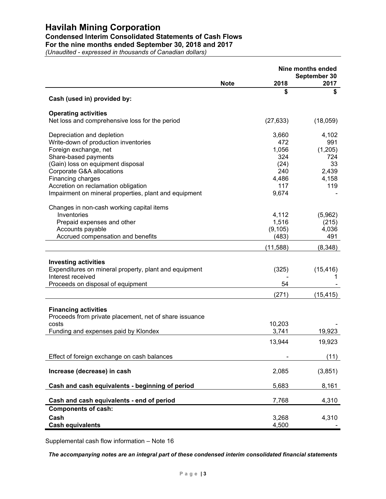### **Condensed Interim Consolidated Statements of Cash Flows**

**For the nine months ended September 30, 2018 and 2017**

*(Unaudited - expressed in thousands of Canadian dollars)*

|                                                                                                                                                                                                                                                                                                            | Nine months ended |                                                                      |                                                               |
|------------------------------------------------------------------------------------------------------------------------------------------------------------------------------------------------------------------------------------------------------------------------------------------------------------|-------------------|----------------------------------------------------------------------|---------------------------------------------------------------|
|                                                                                                                                                                                                                                                                                                            | <b>Note</b>       | 2018                                                                 | September 30<br>2017                                          |
| Cash (used in) provided by:                                                                                                                                                                                                                                                                                |                   | \$                                                                   | \$                                                            |
| <b>Operating activities</b><br>Net loss and comprehensive loss for the period                                                                                                                                                                                                                              |                   | (27, 633)                                                            | (18,059)                                                      |
| Depreciation and depletion<br>Write-down of production inventories<br>Foreign exchange, net<br>Share-based payments<br>(Gain) loss on equipment disposal<br>Corporate G&A allocations<br>Financing charges<br>Accretion on reclamation obligation<br>Impairment on mineral properties, plant and equipment |                   | 3,660<br>472<br>1,056<br>324<br>(24)<br>240<br>4,486<br>117<br>9,674 | 4,102<br>991<br>(1,205)<br>724<br>33<br>2,439<br>4,158<br>119 |
| Changes in non-cash working capital items<br>Inventories<br>Prepaid expenses and other<br>Accounts payable<br>Accrued compensation and benefits                                                                                                                                                            |                   | 4,112<br>1,516<br>(9, 105)<br>(483)                                  | (5,962)<br>(215)<br>4,036<br>491                              |
|                                                                                                                                                                                                                                                                                                            |                   | (11, 588)                                                            | (8,348)                                                       |
| <b>Investing activities</b><br>Expenditures on mineral property, plant and equipment<br>Interest received<br>Proceeds on disposal of equipment                                                                                                                                                             |                   | (325)<br>54                                                          | (15, 416)                                                     |
|                                                                                                                                                                                                                                                                                                            |                   | (271)                                                                | (15, 415)                                                     |
| <b>Financing activities</b><br>Proceeds from private placement, net of share issuance<br>costs                                                                                                                                                                                                             |                   | 10,203                                                               |                                                               |
| Funding and expenses paid by Klondex                                                                                                                                                                                                                                                                       |                   | 3,741                                                                | 19,923                                                        |
|                                                                                                                                                                                                                                                                                                            |                   | 13,944                                                               | 19,923                                                        |
| Effect of foreign exchange on cash balances                                                                                                                                                                                                                                                                |                   |                                                                      | (11)                                                          |
| Increase (decrease) in cash                                                                                                                                                                                                                                                                                |                   | 2,085                                                                | (3, 851)                                                      |
| Cash and cash equivalents - beginning of period                                                                                                                                                                                                                                                            |                   | 5,683                                                                | 8,161                                                         |
| Cash and cash equivalents - end of period                                                                                                                                                                                                                                                                  |                   | 7,768                                                                | 4,310                                                         |
| <b>Components of cash:</b><br>Cash<br><b>Cash equivalents</b>                                                                                                                                                                                                                                              |                   | 3,268<br>4,500                                                       | 4,310                                                         |

Supplemental cash flow information – Note 16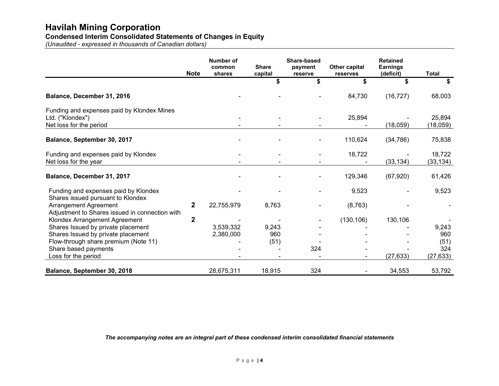### **Condensed Interim Consolidated Statements of Changes in Equity**

*(Unaudited - expressed in thousands of Canadian dollars)*

|                                                                                           | <b>Note</b>    | <b>Number of</b><br>common<br>shares | <b>Share</b><br>capital | Share-based<br>payment<br>reserve | Other capital<br>reserves | <b>Retained</b><br><b>Earnings</b><br>(deficit) | <b>Total</b>        |
|-------------------------------------------------------------------------------------------|----------------|--------------------------------------|-------------------------|-----------------------------------|---------------------------|-------------------------------------------------|---------------------|
|                                                                                           |                |                                      |                         |                                   | \$                        |                                                 | S                   |
| Balance, December 31, 2016                                                                |                |                                      |                         |                                   | 84,730                    | (16, 727)                                       | 68,003              |
| Funding and expenses paid by Klondex Mines<br>Ltd. ("Klondex")<br>Net loss for the period |                |                                      |                         |                                   | 25,894                    | (18,059)                                        | 25,894<br>(18,059)  |
| Balance, September 30, 2017                                                               |                |                                      |                         |                                   | 110,624                   | (34, 786)                                       | 75,838              |
| Funding and expenses paid by Klondex<br>Net loss for the year                             |                |                                      |                         |                                   | 18,722                    | (33, 134)                                       | 18,722<br>(33, 134) |
| Balance, December 31, 2017                                                                |                |                                      |                         |                                   | 129,346                   | (67, 920)                                       | 61,426              |
| Funding and expenses paid by Klondex<br>Shares issued pursuant to Klondex                 |                |                                      |                         |                                   | 9,523                     |                                                 | 9,523               |
| Arrangement Agreement<br>Adjustment to Shares issued in connection with                   | $\mathbf{2}$   | 22,755,979                           | 8,763                   |                                   | (8, 763)                  |                                                 |                     |
| Klondex Arrangement Agreement<br>Shares Issued by private placement                       | $\overline{2}$ | 3,539,332                            | 9,243                   |                                   | (130, 106)                | 130,106                                         | 9,243               |
| Shares Issued by private placement                                                        |                | 2,380,000                            | 960                     |                                   |                           |                                                 | 960                 |
| Flow-through share premium (Note 11)                                                      |                |                                      | (51)                    |                                   |                           |                                                 | (51)                |
| Share based payments<br>Loss for the period                                               |                |                                      |                         | 324                               |                           | (27, 633)                                       | 324<br>(27, 633)    |
| Balance, September 30, 2018                                                               |                | 28,675,311                           | 18,915                  | 324                               |                           | 34,553                                          | 53,792              |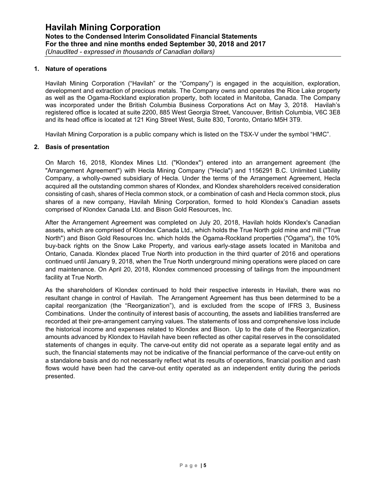#### **1. Nature of operations**

Havilah Mining Corporation ("Havilah" or the "Company") is engaged in the acquisition, exploration, development and extraction of precious metals. The Company owns and operates the Rice Lake property as well as the Ogama-Rockland exploration property, both located in Manitoba, Canada. The Company was incorporated under the British Columbia Business Corporations Act on May 3, 2018. Havilah's registered office is located at suite 2200, 885 West Georgia Street, Vancouver, British Columbia, V6C 3E8 and its head office is located at 121 King Street West, Suite 830, Toronto, Ontario M5H 3T9.

Havilah Mining Corporation is a public company which is listed on the TSX-V under the symbol "HMC".

#### **2. Basis of presentation**

On March 16, 2018, Klondex Mines Ltd. ("Klondex") entered into an arrangement agreement (the "Arrangement Agreement") with Hecla Mining Company ("Hecla") and 1156291 B.C. Unlimited Liability Company, a wholly-owned subsidiary of Hecla. Under the terms of the Arrangement Agreement, Hecla acquired all the outstanding common shares of Klondex, and Klondex shareholders received consideration consisting of cash, shares of Hecla common stock, or a combination of cash and Hecla common stock, plus shares of a new company, Havilah Mining Corporation, formed to hold Klondex's Canadian assets comprised of Klondex Canada Ltd. and Bison Gold Resources, Inc.

After the Arrangement Agreement was completed on July 20, 2018, Havilah holds Klondex's Canadian assets, which are comprised of Klondex Canada Ltd., which holds the True North gold mine and mill ("True North") and Bison Gold Resources Inc. which holds the Ogama-Rockland properties ("Ogama"), the 10% buy-back rights on the Snow Lake Property, and various early-stage assets located in Manitoba and Ontario, Canada. Klondex placed True North into production in the third quarter of 2016 and operations continued until January 9, 2018, when the True North underground mining operations were placed on care and maintenance. On April 20, 2018, Klondex commenced processing of tailings from the impoundment facility at True North.

As the shareholders of Klondex continued to hold their respective interests in Havilah, there was no resultant change in control of Havilah. The Arrangement Agreement has thus been determined to be a capital reorganization (the "Reorganization"), and is excluded from the scope of IFRS 3, Business Combinations. Under the continuity of interest basis of accounting, the assets and liabilities transferred are recorded at their pre-arrangement carrying values. The statements of loss and comprehensive loss include the historical income and expenses related to Klondex and Bison. Up to the date of the Reorganization, amounts advanced by Klondex to Havilah have been reflected as other capital reserves in the consolidated statements of changes in equity. The carve-out entity did not operate as a separate legal entity and as such, the financial statements may not be indicative of the financial performance of the carve-out entity on a standalone basis and do not necessarily reflect what its results of operations, financial position and cash flows would have been had the carve-out entity operated as an independent entity during the periods presented.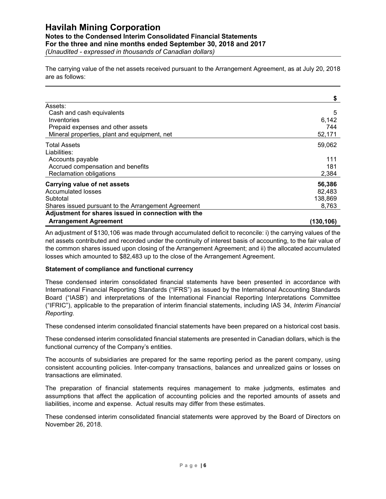#### **Notes to the Condensed Interim Consolidated Financial Statements**

**For the three and nine months ended September 30, 2018 and 2017**

*(Unaudited - expressed in thousands of Canadian dollars)*

The carrying value of the net assets received pursuant to the Arrangement Agreement, as at July 20, 2018 are as follows:

|                                                     | \$         |
|-----------------------------------------------------|------------|
| Assets:                                             |            |
| Cash and cash equivalents                           | 5          |
| Inventories                                         | 6,142      |
| Prepaid expenses and other assets                   | 744        |
| Mineral properties, plant and equipment, net        | 52,171     |
| <b>Total Assets</b>                                 | 59,062     |
| Liabilities:                                        |            |
| Accounts payable                                    | 111        |
| Accrued compensation and benefits                   | 181        |
| Reclamation obligations                             | 2,384      |
| Carrying value of net assets                        | 56,386     |
| Accumulated losses                                  | 82,483     |
| Subtotal                                            | 138,869    |
| Shares issued pursuant to the Arrangement Agreement | 8,763      |
| Adjustment for shares issued in connection with the |            |
| <b>Arrangement Agreement</b>                        | (130, 106) |

An adjustment of \$130,106 was made through accumulated deficit to reconcile: i) the carrying values of the net assets contributed and recorded under the continuity of interest basis of accounting, to the fair value of the common shares issued upon closing of the Arrangement Agreement; and ii) the allocated accumulated losses which amounted to \$82,483 up to the close of the Arrangement Agreement.

### **Statement of compliance and functional currency**

These condensed interim consolidated financial statements have been presented in accordance with International Financial Reporting Standards ("IFRS") as issued by the International Accounting Standards Board ("IASB') and interpretations of the International Financial Reporting Interpretations Committee ("IFRIC"), applicable to the preparation of interim financial statements, including IAS 34, *Interim Financial Reporting.*

These condensed interim consolidated financial statements have been prepared on a historical cost basis.

These condensed interim consolidated financial statements are presented in Canadian dollars, which is the functional currency of the Company's entities.

The accounts of subsidiaries are prepared for the same reporting period as the parent company, using consistent accounting policies. Inter-company transactions, balances and unrealized gains or losses on transactions are eliminated.

The preparation of financial statements requires management to make judgments, estimates and assumptions that affect the application of accounting policies and the reported amounts of assets and liabilities, income and expense. Actual results may differ from these estimates.

These condensed interim consolidated financial statements were approved by the Board of Directors on November 26, 2018.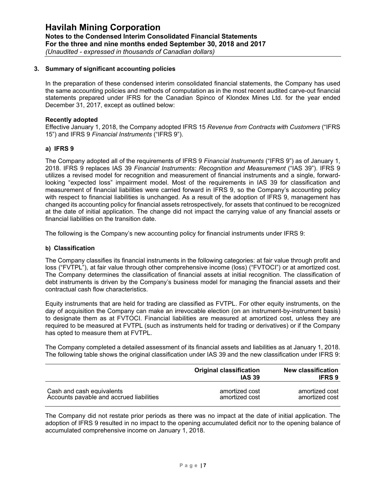#### **3. Summary of significant accounting policies**

In the preparation of these condensed interim consolidated financial statements, the Company has used the same accounting policies and methods of computation as in the most recent audited carve-out financial statements prepared under IFRS for the Canadian Spinco of Klondex Mines Ltd. for the year ended December 31, 2017, except as outlined below:

#### **Recently adopted**

Effective January 1, 2018, the Company adopted IFRS 15 *Revenue from Contracts with Customers* ("IFRS 15") and IFRS 9 *Financial Instruments* ("IFRS 9").

#### **a) IFRS 9**

The Company adopted all of the requirements of IFRS 9 *Financial Instruments* ("IFRS 9") as of January 1, 2018. IFRS 9 replaces IAS 39 *Financial Instruments: Recognition and Measurement* ("IAS 39"). IFRS 9 utilizes a revised model for recognition and measurement of financial instruments and a single, forwardlooking "expected loss" impairment model. Most of the requirements in IAS 39 for classification and measurement of financial liabilities were carried forward in IFRS 9, so the Company's accounting policy with respect to financial liabilities is unchanged. As a result of the adoption of IFRS 9, management has changed its accounting policy for financial assets retrospectively, for assets that continued to be recognized at the date of initial application. The change did not impact the carrying value of any financial assets or financial liabilities on the transition date.

The following is the Company's new accounting policy for financial instruments under IFRS 9:

#### **b) Classification**

The Company classifies its financial instruments in the following categories: at fair value through profit and loss ("FVTPL"), at fair value through other comprehensive income (loss) ("FVTOCI") or at amortized cost. The Company determines the classification of financial assets at initial recognition. The classification of debt instruments is driven by the Company's business model for managing the financial assets and their contractual cash flow characteristics.

Equity instruments that are held for trading are classified as FVTPL. For other equity instruments, on the day of acquisition the Company can make an irrevocable election (on an instrument-by-instrument basis) to designate them as at FVTOCI. Financial liabilities are measured at amortized cost, unless they are required to be measured at FVTPL (such as instruments held for trading or derivatives) or if the Company has opted to measure them at FVTPL.

The Company completed a detailed assessment of its financial assets and liabilities as at January 1, 2018. The following table shows the original classification under IAS 39 and the new classification under IFRS 9:

|                                          | <b>Original classification</b><br><b>IAS 39</b> | New classification<br><b>IFRS 9</b> |
|------------------------------------------|-------------------------------------------------|-------------------------------------|
| Cash and cash equivalents                | amortized cost                                  | amortized cost                      |
| Accounts payable and accrued liabilities | amortized cost                                  | amortized cost                      |

The Company did not restate prior periods as there was no impact at the date of initial application. The adoption of IFRS 9 resulted in no impact to the opening accumulated deficit nor to the opening balance of accumulated comprehensive income on January 1, 2018.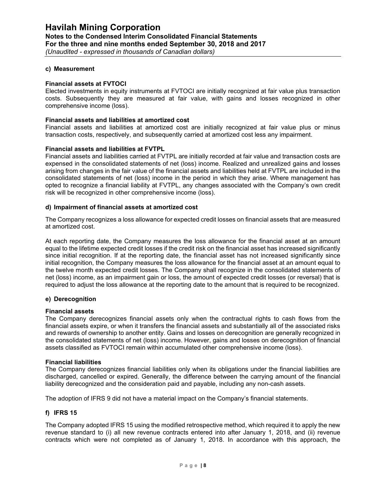#### **c) Measurement**

#### **Financial assets at FVTOCI**

Elected investments in equity instruments at FVTOCI are initially recognized at fair value plus transaction costs. Subsequently they are measured at fair value, with gains and losses recognized in other comprehensive income (loss).

#### **Financial assets and liabilities at amortized cost**

Financial assets and liabilities at amortized cost are initially recognized at fair value plus or minus transaction costs, respectively, and subsequently carried at amortized cost less any impairment.

#### **Financial assets and liabilities at FVTPL**

Financial assets and liabilities carried at FVTPL are initially recorded at fair value and transaction costs are expensed in the consolidated statements of net (loss) income. Realized and unrealized gains and losses arising from changes in the fair value of the financial assets and liabilities held at FVTPL are included in the consolidated statements of net (loss) income in the period in which they arise. Where management has opted to recognize a financial liability at FVTPL, any changes associated with the Company's own credit risk will be recognized in other comprehensive income (loss).

#### **d) Impairment of financial assets at amortized cost**

The Company recognizes a loss allowance for expected credit losses on financial assets that are measured at amortized cost.

At each reporting date, the Company measures the loss allowance for the financial asset at an amount equal to the lifetime expected credit losses if the credit risk on the financial asset has increased significantly since initial recognition. If at the reporting date, the financial asset has not increased significantly since initial recognition, the Company measures the loss allowance for the financial asset at an amount equal to the twelve month expected credit losses. The Company shall recognize in the consolidated statements of net (loss) income, as an impairment gain or loss, the amount of expected credit losses (or reversal) that is required to adjust the loss allowance at the reporting date to the amount that is required to be recognized.

#### **e) Derecognition**

#### **Financial assets**

The Company derecognizes financial assets only when the contractual rights to cash flows from the financial assets expire, or when it transfers the financial assets and substantially all of the associated risks and rewards of ownership to another entity. Gains and losses on derecognition are generally recognized in the consolidated statements of net (loss) income. However, gains and losses on derecognition of financial assets classified as FVTOCI remain within accumulated other comprehensive income (loss).

#### **Financial liabilities**

The Company derecognizes financial liabilities only when its obligations under the financial liabilities are discharged, cancelled or expired. Generally, the difference between the carrying amount of the financial liability derecognized and the consideration paid and payable, including any non-cash assets.

The adoption of IFRS 9 did not have a material impact on the Company's financial statements.

#### **f) IFRS 15**

The Company adopted IFRS 15 using the modified retrospective method, which required it to apply the new revenue standard to (i) all new revenue contracts entered into after January 1, 2018, and (ii) revenue contracts which were not completed as of January 1, 2018. In accordance with this approach, the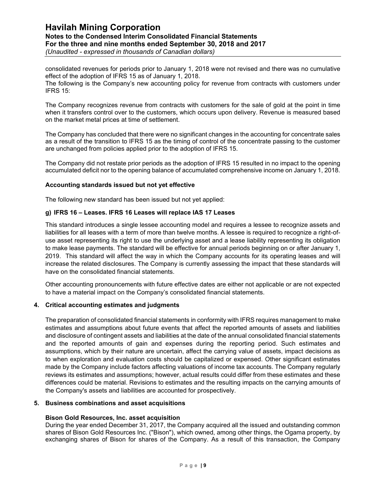### **Havilah Mining Corporation Notes to the Condensed Interim Consolidated Financial Statements For the three and nine months ended September 30, 2018 and 2017** *(Unaudited - expressed in thousands of Canadian dollars)*

consolidated revenues for periods prior to January 1, 2018 were not revised and there was no cumulative effect of the adoption of IFRS 15 as of January 1, 2018.

The following is the Company's new accounting policy for revenue from contracts with customers under IFRS 15:

The Company recognizes revenue from contracts with customers for the sale of gold at the point in time when it transfers control over to the customers, which occurs upon delivery. Revenue is measured based on the market metal prices at time of settlement.

The Company has concluded that there were no significant changes in the accounting for concentrate sales as a result of the transition to IFRS 15 as the timing of control of the concentrate passing to the customer are unchanged from policies applied prior to the adoption of IFRS 15.

The Company did not restate prior periods as the adoption of IFRS 15 resulted in no impact to the opening accumulated deficit nor to the opening balance of accumulated comprehensive income on January 1, 2018.

#### **Accounting standards issued but not yet effective**

The following new standard has been issued but not yet applied:

#### **g) IFRS 16 – Leases. IFRS 16 Leases will replace IAS 17 Leases**

This standard introduces a single lessee accounting model and requires a lessee to recognize assets and liabilities for all leases with a term of more than twelve months. A lessee is required to recognize a right-ofuse asset representing its right to use the underlying asset and a lease liability representing its obligation to make lease payments. The standard will be effective for annual periods beginning on or after January 1, 2019. This standard will affect the way in which the Company accounts for its operating leases and will increase the related disclosures. The Company is currently assessing the impact that these standards will have on the consolidated financial statements.

Other accounting pronouncements with future effective dates are either not applicable or are not expected to have a material impact on the Company's consolidated financial statements.

#### **4. Critical accounting estimates and judgments**

The preparation of consolidated financial statements in conformity with IFRS requires management to make estimates and assumptions about future events that affect the reported amounts of assets and liabilities and disclosure of contingent assets and liabilities at the date of the annual consolidated financial statements and the reported amounts of gain and expenses during the reporting period. Such estimates and assumptions, which by their nature are uncertain, affect the carrying value of assets, impact decisions as to when exploration and evaluation costs should be capitalized or expensed. Other significant estimates made by the Company include factors affecting valuations of income tax accounts. The Company regularly reviews its estimates and assumptions; however, actual results could differ from these estimates and these differences could be material. Revisions to estimates and the resulting impacts on the carrying amounts of the Company's assets and liabilities are accounted for prospectively.

#### **5. Business combinations and asset acquisitions**

#### **Bison Gold Resources, Inc. asset acquisition**

During the year ended December 31, 2017, the Company acquired all the issued and outstanding common shares of Bison Gold Resources Inc. ("Bison"), which owned, among other things, the Ogama property, by exchanging shares of Bison for shares of the Company. As a result of this transaction, the Company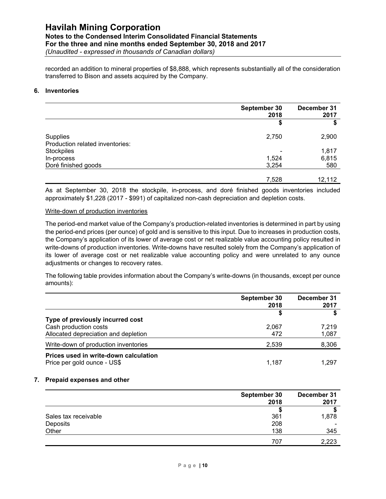### **Havilah Mining Corporation Notes to the Condensed Interim Consolidated Financial Statements For the three and nine months ended September 30, 2018 and 2017**

*(Unaudited - expressed in thousands of Canadian dollars)*

recorded an addition to mineral properties of \$8,888, which represents substantially all of the consideration transferred to Bison and assets acquired by the Company.

#### **6. Inventories**

|                                             | September 30<br>2018 | December 31<br>2017 |
|---------------------------------------------|----------------------|---------------------|
|                                             | \$                   | S                   |
| Supplies<br>Production related inventories: | 2,750                | 2,900               |
| Stockpiles                                  |                      | 1,817               |
| In-process                                  | 1,524                | 6,815               |
| Doré finished goods                         | 3,254                | 580                 |
|                                             |                      |                     |
|                                             | 7,528                | 12,112              |

As at September 30, 2018 the stockpile, in-process, and doré finished goods inventories included approximately \$1,228 (2017 - \$991) of capitalized non-cash depreciation and depletion costs.

#### Write-down of production inventories

The period-end market value of the Company's production-related inventories is determined in part by using the period-end prices (per ounce) of gold and is sensitive to this input. Due to increases in production costs, the Company's application of its lower of average cost or net realizable value accounting policy resulted in write-downs of production inventories. Write-downs have resulted solely from the Company's application of its lower of average cost or net realizable value accounting policy and were unrelated to any ounce adjustments or changes to recovery rates.

The following table provides information about the Company's write-downs (in thousands, except per ounce amounts):

|                                                                                                   | September 30<br>2018 | December 31<br>2017 |
|---------------------------------------------------------------------------------------------------|----------------------|---------------------|
| Type of previously incurred cost<br>Cash production costs<br>Allocated depreciation and depletion | 2,067<br>472         | 7.219<br>1,087      |
| Write-down of production inventories                                                              | 2,539                | 8,306               |
| Prices used in write-down calculation<br>Price per gold ounce - US\$                              | 1.187                | 1.297               |

#### **7. Prepaid expenses and other**

|                      | September 30 | December 31 |  |
|----------------------|--------------|-------------|--|
|                      | 2018         | 2017        |  |
|                      |              |             |  |
| Sales tax receivable | 361          | 1,878       |  |
| Deposits             | 208          |             |  |
| Other                | 138          | 345         |  |
|                      | 707          | 2,223       |  |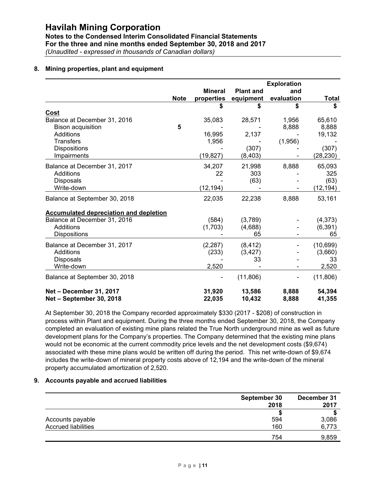**Notes to the Condensed Interim Consolidated Financial Statements For the three and nine months ended September 30, 2018 and 2017** *(Unaudited - expressed in thousands of Canadian dollars)*

### **8. Mining properties, plant and equipment**

|                                                     |             |                  |                  | <b>Exploration</b> |                  |
|-----------------------------------------------------|-------------|------------------|------------------|--------------------|------------------|
|                                                     |             | <b>Mineral</b>   | <b>Plant and</b> | and                |                  |
|                                                     | <b>Note</b> | properties       | equipment        | evaluation         | <b>Total</b>     |
|                                                     |             | S                |                  | S                  | \$               |
| Cost                                                |             |                  |                  |                    |                  |
| Balance at December 31, 2016                        |             | 35,083           | 28,571           | 1,956              | 65,610           |
| <b>Bison acquisition</b>                            | 5           |                  |                  | 8,888              | 8,888            |
| <b>Additions</b>                                    |             | 16,995           | 2,137            |                    | 19,132           |
| <b>Transfers</b>                                    |             | 1,956            |                  | (1,956)            |                  |
| <b>Dispositions</b>                                 |             |                  | (307)            |                    | (307)            |
| Impairments                                         |             | (19, 827)        | (8, 403)         |                    | (28, 230)        |
| Balance at December 31, 2017                        |             | 34,207           | 21,998           | 8,888              | 65,093           |
| Additions                                           |             | 22               | 303              |                    | 325              |
| <b>Disposals</b>                                    |             |                  | (63)             |                    | (63)             |
| Write-down                                          |             | (12, 194)        |                  |                    | (12, 194)        |
| Balance at September 30, 2018                       |             | 22,035           | 22,238           | 8,888              | 53,161           |
| <b>Accumulated depreciation and depletion</b>       |             |                  |                  |                    |                  |
| Balance at December 31, 2016                        |             | (584)            | (3,789)          |                    | (4,373)          |
| Additions                                           |             | (1,703)          | (4,688)          |                    | (6, 391)         |
| <b>Dispositions</b>                                 |             |                  | 65               |                    | 65               |
| Balance at December 31, 2017                        |             | (2, 287)         | (8, 412)         |                    | (10, 699)        |
| <b>Additions</b>                                    |             | (233)            | (3, 427)         |                    | (3,660)          |
| Disposals                                           |             |                  | 33               |                    | 33               |
| Write-down                                          |             | 2,520            |                  |                    | 2,520            |
| Balance at September 30, 2018                       |             |                  | (11, 806)        |                    | (11, 806)        |
| Net - December 31, 2017<br>Net - September 30, 2018 |             | 31,920<br>22,035 | 13,586<br>10,432 | 8,888<br>8,888     | 54,394<br>41,355 |

At September 30, 2018 the Company recorded approximately \$330 (2017 - \$208) of construction in process within Plant and equipment. During the three months ended September 30, 2018, the Company completed an evaluation of existing mine plans related the True North underground mine as well as future development plans for the Company's properties. The Company determined that the existing mine plans would not be economic at the current commodity price levels and the net development costs (\$9,674) associated with these mine plans would be written off during the period. This net write-down of \$9,674 includes the write-down of mineral property costs above of 12,194 and the write-down of the mineral property accumulated amortization of 2,520.

#### **9. Accounts payable and accrued liabilities**

|                            | September 30 | December 31 |  |
|----------------------------|--------------|-------------|--|
|                            | 2018         | 2017        |  |
|                            |              |             |  |
| Accounts payable           | 594          | 3,086       |  |
| <b>Accrued liabilities</b> | 160          | 6,773       |  |
|                            | 754          | 9,859       |  |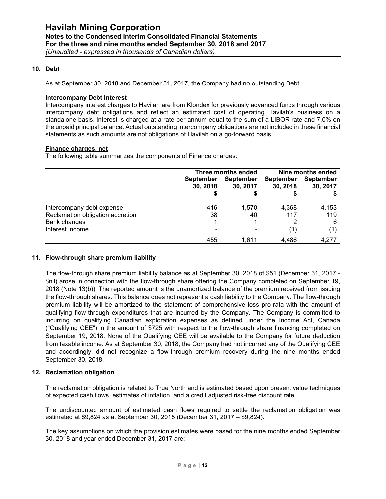#### **10. Debt**

As at September 30, 2018 and December 31, 2017, the Company had no outstanding Debt.

#### **Intercompany Debt Interest**

Intercompany interest charges to Havilah are from Klondex for previously advanced funds through various intercompany debt obligations and reflect an estimated cost of operating Havilah's business on a standalone basis. Interest is charged at a rate per annum equal to the sum of a LIBOR rate and 7.0% on the unpaid principal balance. Actual outstanding intercompany obligations are not included in these financial statements as such amounts are not obligations of Havilah on a go-forward basis.

#### **Finance charges, net**

The following table summarizes the components of Finance charges:

|                                  | Three months ended |                  | Nine months ended |                  |
|----------------------------------|--------------------|------------------|-------------------|------------------|
|                                  | <b>September</b>   | <b>September</b> | September         | <b>September</b> |
|                                  | 30, 2018           | 30, 2017         | 30, 2018          | 30, 2017         |
|                                  |                    |                  |                   |                  |
| Intercompany debt expense        | 416                | 1.570            | 4,368             | 4,153            |
| Reclamation obligation accretion | 38                 | 40               | 117               | 119              |
| <b>Bank changes</b>              |                    |                  |                   | 6                |
| Interest income                  | ۰                  | ۰                | (1                | (1)              |
|                                  | 455                | 1.611            | 4.486             | 4.277            |

#### **11. Flow-through share premium liability**

The flow-through share premium liability balance as at September 30, 2018 of \$51 (December 31, 2017 - \$nil) arose in connection with the flow-through share offering the Company completed on September 19, 2018 (Note 13(b)). The reported amount is the unamortized balance of the premium received from issuing the flow-through shares. This balance does not represent a cash liability to the Company. The flow-through premium liability will be amortized to the statement of comprehensive loss pro-rata with the amount of qualifying flow-through expenditures that are incurred by the Company. The Company is committed to incurring on qualifying Canadian exploration expenses as defined under the Income Act, Canada ("Qualifying CEE") in the amount of \$725 with respect to the flow-through share financing completed on September 19, 2018. None of the Qualifying CEE will be available to the Company for future deduction from taxable income. As at September 30, 2018, the Company had not incurred any of the Qualifying CEE and accordingly, did not recognize a flow-through premium recovery during the nine months ended September 30, 2018.

#### **12. Reclamation obligation**

The reclamation obligation is related to True North and is estimated based upon present value techniques of expected cash flows, estimates of inflation, and a credit adjusted risk-free discount rate.

The undiscounted amount of estimated cash flows required to settle the reclamation obligation was estimated at \$9,824 as at September 30, 2018 (December 31, 2017 – \$9,824).

The key assumptions on which the provision estimates were based for the nine months ended September 30, 2018 and year ended December 31, 2017 are: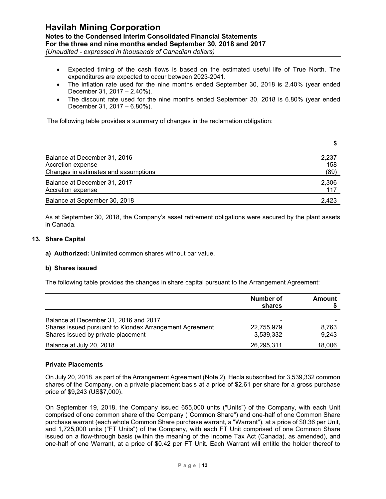## **Havilah Mining Corporation Notes to the Condensed Interim Consolidated Financial Statements For the three and nine months ended September 30, 2018 and 2017**

*(Unaudited - expressed in thousands of Canadian dollars)*

- Expected timing of the cash flows is based on the estimated useful life of True North. The expenditures are expected to occur between 2023-2041.
- The inflation rate used for the nine months ended September 30, 2018 is 2.40% (year ended December 31, 2017 – 2.40%).
- The discount rate used for the nine months ended September 30, 2018 is 6.80% (year ended December 31, 2017 – 6.80%).

The following table provides a summary of changes in the reclamation obligation:

| Balance at December 31, 2016                      | 2,237        |
|---------------------------------------------------|--------------|
| Accretion expense                                 | 158          |
| Changes in estimates and assumptions              | (89)         |
| Balance at December 31, 2017<br>Accretion expense | 2,306<br>117 |
| Balance at September 30, 2018                     | 2.423        |

As at September 30, 2018, the Company's asset retirement obligations were secured by the plant assets in Canada.

#### **13. Share Capital**

**a) Authorized:** Unlimited common shares without par value.

#### **b) Shares issued**

The following table provides the changes in share capital pursuant to the Arrangement Agreement:

|                                                                                               | Number of<br>shares     | Amount         |  |
|-----------------------------------------------------------------------------------------------|-------------------------|----------------|--|
| Balance at December 31, 2016 and 2017                                                         | -                       |                |  |
| Shares issued pursuant to Klondex Arrangement Agreement<br>Shares Issued by private placement | 22,755,979<br>3,539,332 | 8.763<br>9,243 |  |
| Balance at July 20, 2018                                                                      | 26,295,311              | 18,006         |  |

#### **Private Placements**

On July 20, 2018, as part of the Arrangement Agreement (Note 2), Hecla subscribed for 3,539,332 common shares of the Company, on a private placement basis at a price of \$2.61 per share for a gross purchase price of \$9,243 (US\$7,000).

On September 19, 2018, the Company issued 655,000 units ("Units") of the Company, with each Unit comprised of one common share of the Company ("Common Share") and one-half of one Common Share purchase warrant (each whole Common Share purchase warrant, a "Warrant"), at a price of \$0.36 per Unit, and 1,725,000 units ("FT Units") of the Company, with each FT Unit comprised of one Common Share issued on a flow-through basis (within the meaning of the Income Tax Act (Canada), as amended), and one-half of one Warrant, at a price of \$0.42 per FT Unit. Each Warrant will entitle the holder thereof to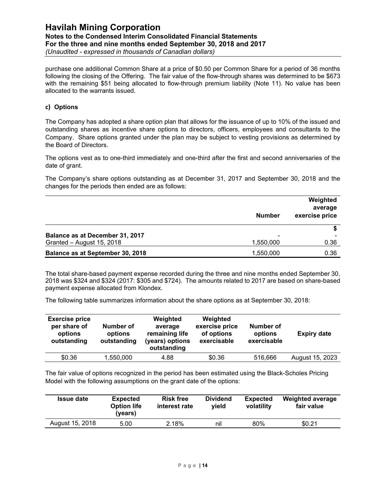purchase one additional Common Share at a price of \$0.50 per Common Share for a period of 36 months following the closing of the Offering. The fair value of the flow-through shares was determined to be \$673 with the remaining \$51 being allocated to flow-through premium liability (Note 11). No value has been allocated to the warrants issued.

#### **c) Options**

The Company has adopted a share option plan that allows for the issuance of up to 10% of the issued and outstanding shares as incentive share options to directors, officers, employees and consultants to the Company. Share options granted under the plan may be subject to vesting provisions as determined by the Board of Directors.

The options vest as to one-third immediately and one-third after the first and second anniversaries of the date of grant.

The Company's share options outstanding as at December 31, 2017 and September 30, 2018 and the changes for the periods then ended are as follows:

|                                  | <b>Number</b> | Weighted<br>average<br>exercise price |
|----------------------------------|---------------|---------------------------------------|
| Balance as at December 31, 2017  | -             |                                       |
| Granted - August 15, 2018        | 1,550,000     | 0.36                                  |
| Balance as at September 30, 2018 | 1,550,000     | 0.36                                  |

The total share-based payment expense recorded during the three and nine months ended September 30, 2018 was \$324 and \$324 (2017: \$305 and \$724). The amounts related to 2017 are based on share-based payment expense allocated from Klondex.

The following table summarizes information about the share options as at September 30, 2018:

| <b>Exercise price</b><br>per share of<br>options<br>outstanding | Number of<br>options<br>outstanding | Weighted<br>average<br>remaining life<br>(years) options<br>outstanding | Weighted<br>exercise price<br>of options<br>exercisable | Number of<br>options<br>exercisable | <b>Expiry date</b> |
|-----------------------------------------------------------------|-------------------------------------|-------------------------------------------------------------------------|---------------------------------------------------------|-------------------------------------|--------------------|
| \$0.36                                                          | 1,550,000                           | 4.88                                                                    | \$0.36                                                  | 516.666                             | August 15, 2023    |

The fair value of options recognized in the period has been estimated using the Black-Scholes Pricing Model with the following assumptions on the grant date of the options:

| <b>Issue date</b> | <b>Expected</b><br><b>Option life</b><br>(years) | <b>Risk free</b><br>interest rate | <b>Dividend</b><br>vield | <b>Expected</b><br>volatility | Weighted average<br>fair value |
|-------------------|--------------------------------------------------|-----------------------------------|--------------------------|-------------------------------|--------------------------------|
| August 15, 2018   | 5.00                                             | 2.18%                             | nil                      | 80%                           | \$0.21                         |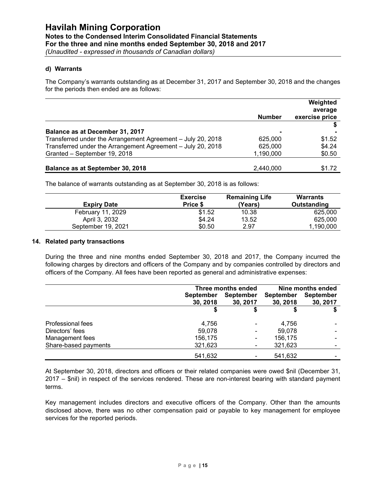*(Unaudited - expressed in thousands of Canadian dollars)*

#### **d) Warrants**

The Company's warrants outstanding as at December 31, 2017 and September 30, 2018 and the changes for the periods then ended are as follows:

|                                                             | <b>Number</b>  | Weighted<br>average<br>exercise price |
|-------------------------------------------------------------|----------------|---------------------------------------|
|                                                             |                |                                       |
| Balance as at December 31, 2017                             | $\blacksquare$ |                                       |
| Transferred under the Arrangement Agreement - July 20, 2018 | 625,000        | \$1.52                                |
| Transferred under the Arrangement Agreement - July 20, 2018 | 625,000        | \$4.24                                |
| Granted - September 19, 2018                                | 1,190,000      | \$0.50                                |
| Balance as at September 30, 2018                            | 2.440.000      | \$1.72                                |

The balance of warrants outstanding as at September 30, 2018 is as follows:

| <b>Expiry Date</b> | <b>Exercise</b><br>Price \$ | <b>Remaining Life</b><br>(Years) | <b>Warrants</b><br>Outstanding |
|--------------------|-----------------------------|----------------------------------|--------------------------------|
| February 11, 2029  | \$1.52                      | 10.38                            | 625,000                        |
| April 3, 2032      | \$4.24                      | 13.52                            | 625,000                        |
| September 19, 2021 | \$0.50                      | 2.97                             | 1,190,000                      |

#### **14. Related party transactions**

During the three and nine months ended September 30, 2018 and 2017, the Company incurred the following charges by directors and officers of the Company and by companies controlled by directors and officers of the Company. All fees have been reported as general and administrative expenses:

|                      | Three months ended |                  | Nine months ended |                          |
|----------------------|--------------------|------------------|-------------------|--------------------------|
|                      | <b>September</b>   | <b>September</b> | <b>September</b>  | <b>September</b>         |
|                      | 30, 2018           | 30, 2017         | 30, 2018          | 30, 2017                 |
|                      |                    |                  |                   |                          |
| Professional fees    | 4.756              | $\blacksquare$   | 4,756             |                          |
| Directors' fees      | 59,078             | ۰                | 59,078            | $\overline{\phantom{0}}$ |
| Management fees      | 156,175            | ۰                | 156,175           |                          |
| Share-based payments | 321,623            | ۰                | 321,623           |                          |
|                      | 541,632            |                  | 541,632           |                          |

At September 30, 2018, directors and officers or their related companies were owed \$nil (December 31, 2017 – \$nil) in respect of the services rendered. These are non-interest bearing with standard payment terms.

Key management includes directors and executive officers of the Company. Other than the amounts disclosed above, there was no other compensation paid or payable to key management for employee services for the reported periods.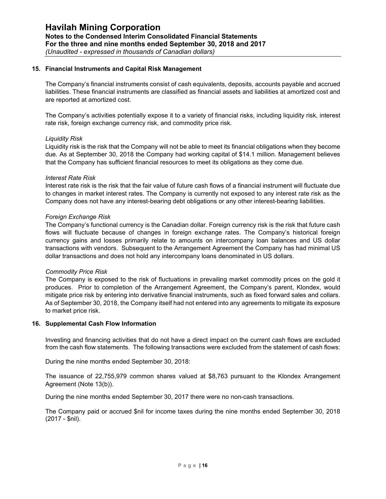#### **15. Financial Instruments and Capital Risk Management**

The Company's financial instruments consist of cash equivalents, deposits, accounts payable and accrued liabilities. These financial instruments are classified as financial assets and liabilities at amortized cost and are reported at amortized cost.

The Company's activities potentially expose it to a variety of financial risks, including liquidity risk, interest rate risk, foreign exchange currency risk, and commodity price risk.

#### *Liquidity Risk*

Liquidity risk is the risk that the Company will not be able to meet its financial obligations when they become due. As at September 30, 2018 the Company had working capital of \$14.1 million. Management believes that the Company has sufficient financial resources to meet its obligations as they come due.

#### *Interest Rate Risk*

Interest rate risk is the risk that the fair value of future cash flows of a financial instrument will fluctuate due to changes in market interest rates. The Company is currently not exposed to any interest rate risk as the Company does not have any interest-bearing debt obligations or any other interest-bearing liabilities.

#### *Foreign Exchange Risk*

The Company's functional currency is the Canadian dollar. Foreign currency risk is the risk that future cash flows will fluctuate because of changes in foreign exchange rates. The Company's historical foreign currency gains and losses primarily relate to amounts on intercompany loan balances and US dollar transactions with vendors. Subsequent to the Arrangement Agreement the Company has had minimal US dollar transactions and does not hold any intercompany loans denominated in US dollars.

#### *Commodity Price Risk*

The Company is exposed to the risk of fluctuations in prevailing market commodity prices on the gold it produces. Prior to completion of the Arrangement Agreement, the Company's parent, Klondex, would mitigate price risk by entering into derivative financial instruments, such as fixed forward sales and collars. As of September 30, 2018, the Company itself had not entered into any agreements to mitigate its exposure to market price risk.

#### **16. Supplemental Cash Flow Information**

Investing and financing activities that do not have a direct impact on the current cash flows are excluded from the cash flow statements. The following transactions were excluded from the statement of cash flows:

During the nine months ended September 30, 2018:

The issuance of 22,755,979 common shares valued at \$8,763 pursuant to the Klondex Arrangement Agreement (Note 13(b)).

During the nine months ended September 30, 2017 there were no non-cash transactions.

The Company paid or accrued \$nil for income taxes during the nine months ended September 30, 2018 (2017 - \$nil).